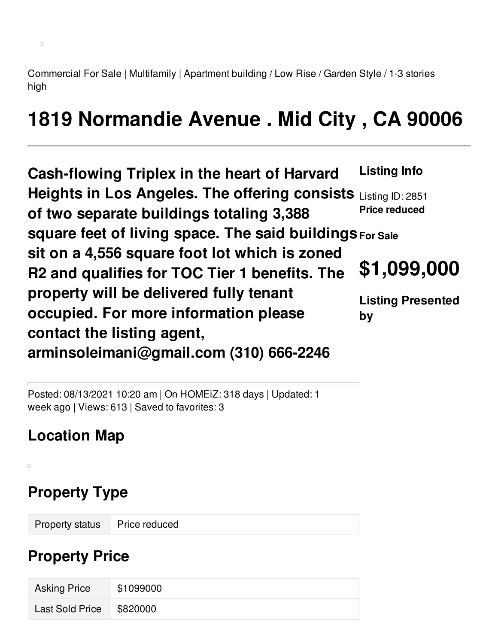Commercial For Sale | Multifamily | Apartment building / Low Rise / Garden Style / 1-3 stories high

# **1819 Normandie Avenue . Mid City , CA 90006**

**Cash-flowing Triplex in the heart of Harvard Heights in Los Angeles. The offering consists** Listing ID: 2851 **of two separate buildings totaling 3,388 square feet of living space. The said buildings For Sale sit on a 4,556 square foot lot which is zoned R2 and qualifies for TOC Tier 1 benefits. The property will be delivered fully tenant occupied. For more information please contact the listing agent, arminsoleimani@gmail.com (310) 666-2246 Listing Info Price reduced \$1,099,000 Listing Presented by**

Posted: 08/13/2021 10:20 am | On HOMEiZ: 318 days | Updated: 1 week ago | Views: 613 | Saved to favorites: 3

## **Location Map**

 $\Box$ 

## **Property Type**

Property status Price reduced

#### **Property Price**

| <b>Asking Price</b> | \$1099000 |
|---------------------|-----------|
| Last Sold Price     | \$820000  |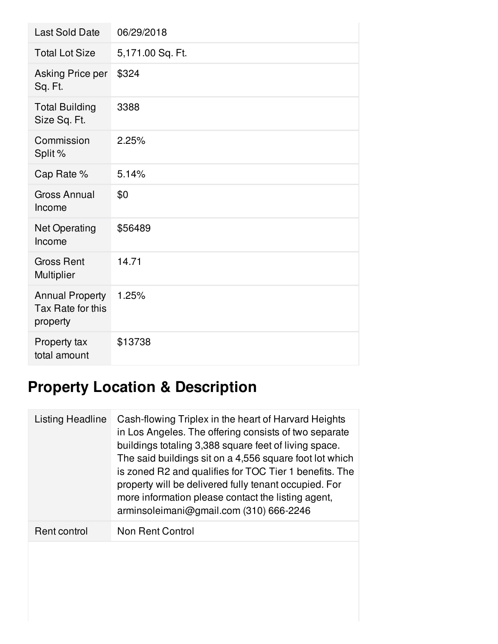| <b>Last Sold Date</b>                                   | 06/29/2018       |
|---------------------------------------------------------|------------------|
| <b>Total Lot Size</b>                                   | 5,171.00 Sq. Ft. |
| Asking Price per<br>Sq. Ft.                             | \$324            |
| <b>Total Building</b><br>Size Sq. Ft.                   | 3388             |
| Commission<br>Split %                                   | 2.25%            |
| Cap Rate %                                              | 5.14%            |
| <b>Gross Annual</b><br>Income                           | \$0              |
| <b>Net Operating</b><br>Income                          | \$56489          |
| <b>Gross Rent</b><br>Multiplier                         | 14.71            |
| <b>Annual Property</b><br>Tax Rate for this<br>property | 1.25%            |
| Property tax<br>total amount                            | \$13738          |

## **Property Location & Description**

| Listing Headline | Cash-flowing Triplex in the heart of Harvard Heights<br>in Los Angeles. The offering consists of two separate<br>buildings totaling 3,388 square feet of living space.<br>The said buildings sit on a 4,556 square foot lot which<br>is zoned R2 and qualifies for TOC Tier 1 benefits. The<br>property will be delivered fully tenant occupied. For<br>more information please contact the listing agent,<br>arminsoleimani@gmail.com (310) 666-2246 |
|------------------|-------------------------------------------------------------------------------------------------------------------------------------------------------------------------------------------------------------------------------------------------------------------------------------------------------------------------------------------------------------------------------------------------------------------------------------------------------|
| Rent control     | Non Rent Control                                                                                                                                                                                                                                                                                                                                                                                                                                      |
|                  |                                                                                                                                                                                                                                                                                                                                                                                                                                                       |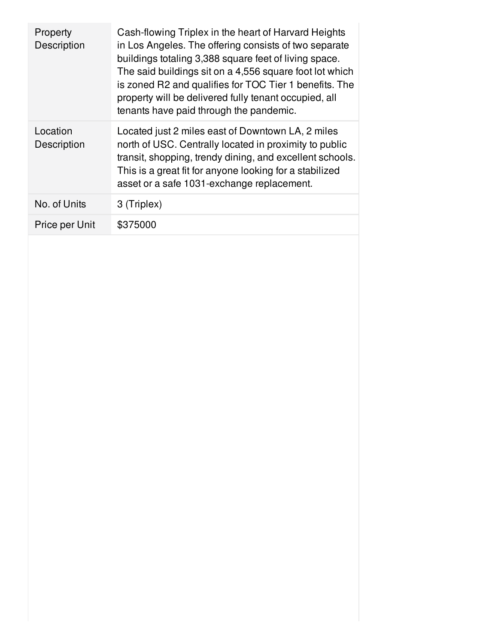| Property<br>Description | Cash-flowing Triplex in the heart of Harvard Heights<br>in Los Angeles. The offering consists of two separate<br>buildings totaling 3,388 square feet of living space.<br>The said buildings sit on a 4,556 square foot lot which<br>is zoned R2 and qualifies for TOC Tier 1 benefits. The<br>property will be delivered fully tenant occupied, all<br>tenants have paid through the pandemic. |
|-------------------------|-------------------------------------------------------------------------------------------------------------------------------------------------------------------------------------------------------------------------------------------------------------------------------------------------------------------------------------------------------------------------------------------------|
| Location<br>Description | Located just 2 miles east of Downtown LA, 2 miles<br>north of USC. Centrally located in proximity to public<br>transit, shopping, trendy dining, and excellent schools.<br>This is a great fit for anyone looking for a stabilized<br>asset or a safe 1031-exchange replacement.                                                                                                                |
| No. of Units            | 3 (Triplex)                                                                                                                                                                                                                                                                                                                                                                                     |
| Price per Unit          | \$375000                                                                                                                                                                                                                                                                                                                                                                                        |
|                         |                                                                                                                                                                                                                                                                                                                                                                                                 |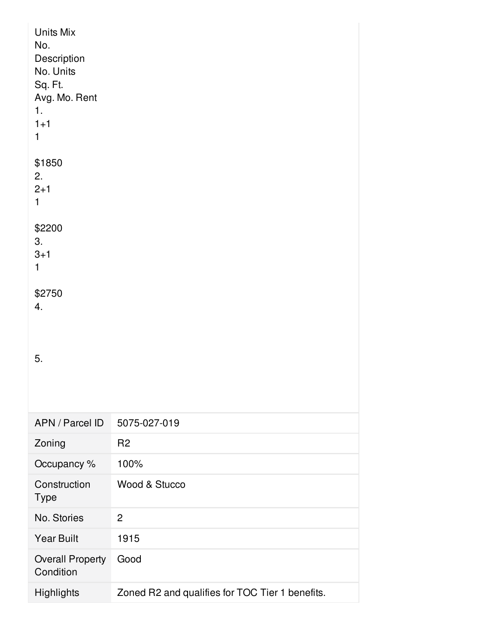| Units Mix<br>No.<br>Description<br>No. Units<br>Sq. Ft.<br>Avg. Mo. Rent<br>1.<br>$1 + 1$<br>$\mathbf 1$ |                                                 |
|----------------------------------------------------------------------------------------------------------|-------------------------------------------------|
| \$1850<br>2.<br>$2 + 1$<br>$\mathbf{1}$                                                                  |                                                 |
| \$2200<br>3.<br>$3 + 1$<br>1                                                                             |                                                 |
| \$2750<br>4.                                                                                             |                                                 |
| 5.                                                                                                       |                                                 |
| APN / Parcel ID                                                                                          | 5075-027-019                                    |
| Zoning                                                                                                   | R <sub>2</sub>                                  |
| Occupancy %                                                                                              | 100%                                            |
| Construction<br><b>Type</b>                                                                              | Wood & Stucco                                   |
| No. Stories                                                                                              | $\overline{2}$                                  |
| <b>Year Built</b>                                                                                        | 1915                                            |
| <b>Overall Property</b><br>Condition                                                                     | Good                                            |
| Highlights                                                                                               | Zoned R2 and qualifies for TOC Tier 1 benefits. |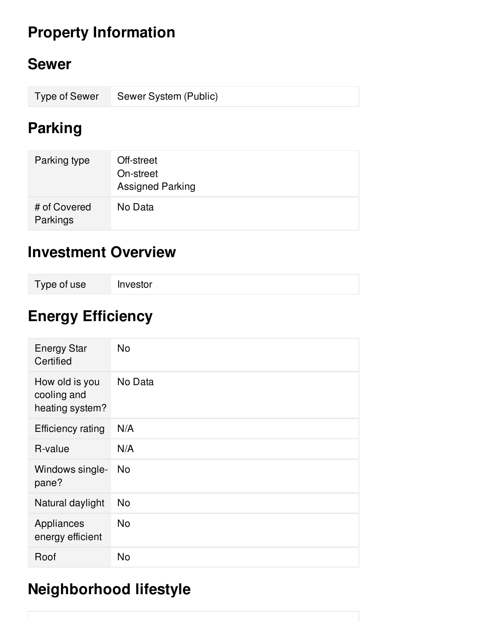## **Property Information**

#### **Sewer**

| Type of Sewer Sewer System (Public) |
|-------------------------------------|
|                                     |

#### **Parking**

| Parking type             | Off-street<br>On-street<br><b>Assigned Parking</b> |
|--------------------------|----------------------------------------------------|
| # of Covered<br>Parkings | No Data                                            |

#### **Investment Overview**

| Type of use | Investor |
|-------------|----------|
|-------------|----------|

## **Energy Efficiency**

| <b>Energy Star</b><br>Certified                  | <b>No</b> |
|--------------------------------------------------|-----------|
| How old is you<br>cooling and<br>heating system? | No Data   |
| <b>Efficiency rating</b>                         | N/A       |
| R-value                                          | N/A       |
| Windows single-<br>pane?                         | No.       |
| Natural daylight                                 | <b>No</b> |
| Appliances<br>energy efficient                   | <b>No</b> |
| Roof                                             | <b>No</b> |

## **Neighborhood lifestyle**